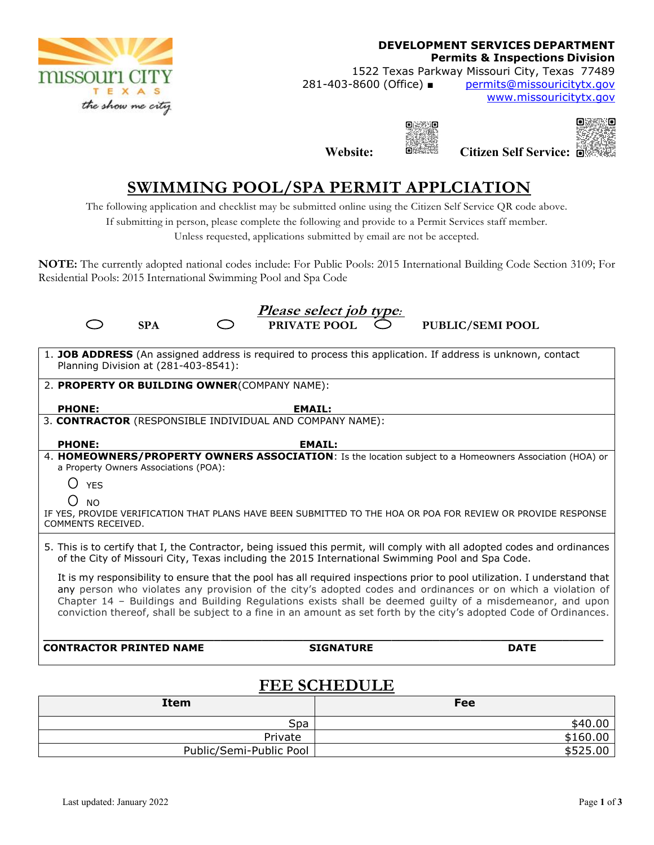

#### **DEVELOPMENT SERVICES DEPARTMENT Permits & Inspections Division**

1522 Texas Parkway Missouri City, Texas 77489 281-403-8600 (Office) ■ permits@missouricitytx.gov

www.missouricitytx.gov

ïΘ

 $\blacksquare$ 

**Website:**  $\frac{d\mathbf{x}}{d\mathbf{x}}$  Citizen Self Service:  $\frac{d\mathbf{x}}{d\mathbf{x}}$ 

# **SWIMMING POOL/SPA PERMIT APPLCIATION**

The following application and checklist may be submitted online using the Citizen Self Service QR code above.

If submitting in person, please complete the following and provide to a Permit Services staff member.

Unless requested, applications submitted by email are not be accepted.

**NOTE:** The currently adopted national codes include: For Public Pools: 2015 International Building Code Section 3109; For Residential Pools: 2015 International Swimming Pool and Spa Code

| <u>Please select job type:</u>                                                                                                                                                                                                 |                                                          |  |                                                                                                              |  |  |
|--------------------------------------------------------------------------------------------------------------------------------------------------------------------------------------------------------------------------------|----------------------------------------------------------|--|--------------------------------------------------------------------------------------------------------------|--|--|
| <b>SPA</b>                                                                                                                                                                                                                     | PRIVATE POOL                                             |  | <b>PUBLIC/SEMI POOL</b>                                                                                      |  |  |
|                                                                                                                                                                                                                                |                                                          |  |                                                                                                              |  |  |
|                                                                                                                                                                                                                                |                                                          |  | 1. JOB ADDRESS (An assigned address is required to process this application. If address is unknown, contact  |  |  |
| Planning Division at (281-403-8541):                                                                                                                                                                                           |                                                          |  |                                                                                                              |  |  |
| 2. PROPERTY OR BUILDING OWNER(COMPANY NAME):                                                                                                                                                                                   |                                                          |  |                                                                                                              |  |  |
|                                                                                                                                                                                                                                |                                                          |  |                                                                                                              |  |  |
| <b>PHONE:</b>                                                                                                                                                                                                                  | <b>EMAIL:</b>                                            |  |                                                                                                              |  |  |
|                                                                                                                                                                                                                                | 3. CONTRACTOR (RESPONSIBLE INDIVIDUAL AND COMPANY NAME): |  |                                                                                                              |  |  |
| <b>PHONE:</b>                                                                                                                                                                                                                  | <b>EMAIL:</b>                                            |  |                                                                                                              |  |  |
|                                                                                                                                                                                                                                |                                                          |  | 4. HOMEOWNERS/PROPERTY OWNERS ASSOCIATION: Is the location subject to a Homeowners Association (HOA) or      |  |  |
| a Property Owners Associations (POA):                                                                                                                                                                                          |                                                          |  |                                                                                                              |  |  |
| ()<br><b>YFS</b>                                                                                                                                                                                                               |                                                          |  |                                                                                                              |  |  |
| ()<br><b>NO</b>                                                                                                                                                                                                                |                                                          |  |                                                                                                              |  |  |
|                                                                                                                                                                                                                                |                                                          |  | IF YES, PROVIDE VERIFICATION THAT PLANS HAVE BEEN SUBMITTED TO THE HOA OR POA FOR REVIEW OR PROVIDE RESPONSE |  |  |
| COMMENTS RECEIVED.                                                                                                                                                                                                             |                                                          |  |                                                                                                              |  |  |
|                                                                                                                                                                                                                                |                                                          |  |                                                                                                              |  |  |
| 5. This is to certify that I, the Contractor, being issued this permit, will comply with all adopted codes and ordinances<br>of the City of Missouri City, Texas including the 2015 International Swimming Pool and Spa Code.  |                                                          |  |                                                                                                              |  |  |
| It is my responsibility to ensure that the pool has all required inspections prior to pool utilization. I understand that                                                                                                      |                                                          |  |                                                                                                              |  |  |
| any person who violates any provision of the city's adopted codes and ordinances or on which a violation of                                                                                                                    |                                                          |  |                                                                                                              |  |  |
| Chapter 14 - Buildings and Building Regulations exists shall be deemed guilty of a misdemeanor, and upon<br>conviction thereof, shall be subject to a fine in an amount as set forth by the city's adopted Code of Ordinances. |                                                          |  |                                                                                                              |  |  |
|                                                                                                                                                                                                                                |                                                          |  |                                                                                                              |  |  |
|                                                                                                                                                                                                                                |                                                          |  |                                                                                                              |  |  |
| <b>CONTRACTOR PRINTED NAME</b>                                                                                                                                                                                                 | <b>SIGNATURE</b>                                         |  | <b>DATE</b>                                                                                                  |  |  |
|                                                                                                                                                                                                                                |                                                          |  |                                                                                                              |  |  |

### **FEE SCHEDULE**

| <b>Item</b>             | <b>Fee</b> |
|-------------------------|------------|
| Spa                     | \$40.00    |
| Private                 | \$160.00   |
| Public/Semi-Public Pool | \$525.00   |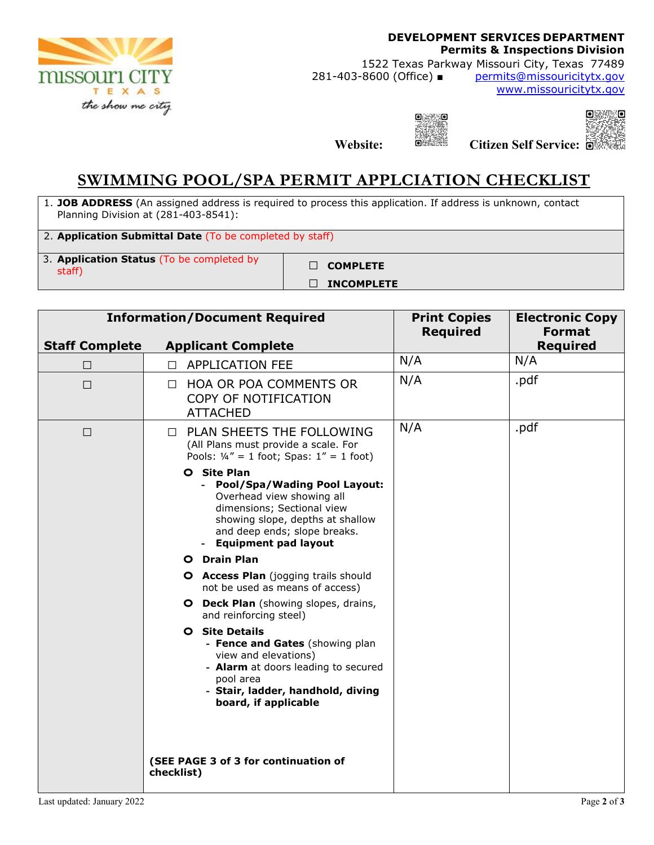

### **DEVELOPMENT SERVICES DEPARTMENT Permits & Inspections Division**

1522 Texas Parkway Missouri City, Texas 77489<br>281-403-8600 (Office) ■ permits@missouricitytx.gov

permits@missouricitytx.gov www.missouricitytx.gov



**Website: Citizen Self Service:**



## **SWIMMING POOL/SPA PERMIT APPLCIATION CHECKLIST**

1. **JOB ADDRESS** (An assigned address is required to process this application. If address is unknown, contact Planning Division at (281-403-8541):

2. **Application Submittal Date** (To be completed by staff)

3. **Application Status** (To be completed by staff) **□ COMPLETE** 

**□ INCOMPLETE**

| <b>Information/Document Required</b> |                                                                                                                                                                                                                                                                                                                                                                                                                                                                                                                                                                                                                                                                                                                        | <b>Print Copies</b><br><b>Required</b> | <b>Electronic Copy</b><br><b>Format</b> |
|--------------------------------------|------------------------------------------------------------------------------------------------------------------------------------------------------------------------------------------------------------------------------------------------------------------------------------------------------------------------------------------------------------------------------------------------------------------------------------------------------------------------------------------------------------------------------------------------------------------------------------------------------------------------------------------------------------------------------------------------------------------------|----------------------------------------|-----------------------------------------|
| <b>Staff Complete</b>                | <b>Applicant Complete</b>                                                                                                                                                                                                                                                                                                                                                                                                                                                                                                                                                                                                                                                                                              |                                        | <b>Required</b>                         |
| $\Box$                               | <b>APPLICATION FEE</b><br>$\Box$                                                                                                                                                                                                                                                                                                                                                                                                                                                                                                                                                                                                                                                                                       | N/A                                    | N/A                                     |
| $\Box$                               | <b>HOA OR POA COMMENTS OR</b><br>П<br>COPY OF NOTIFICATION<br><b>ATTACHED</b>                                                                                                                                                                                                                                                                                                                                                                                                                                                                                                                                                                                                                                          | N/A                                    | .pdf                                    |
| $\Box$                               | PLAN SHEETS THE FOLLOWING<br>$\perp$<br>(All Plans must provide a scale. For<br>Pools: $1/4'' = 1$ foot; Spas: $1'' = 1$ foot)<br>O Site Plan<br>- Pool/Spa/Wading Pool Layout:<br>Overhead view showing all<br>dimensions; Sectional view<br>showing slope, depths at shallow<br>and deep ends; slope breaks.<br><b>Equipment pad layout</b><br>O Drain Plan<br><b>O</b> Access Plan (jogging trails should<br>not be used as means of access)<br>O Deck Plan (showing slopes, drains,<br>and reinforcing steel)<br><b>O</b> Site Details<br>- Fence and Gates (showing plan<br>view and elevations)<br>- Alarm at doors leading to secured<br>pool area<br>- Stair, ladder, handhold, diving<br>board, if applicable | N/A                                    | .pdf                                    |
|                                      | (SEE PAGE 3 of 3 for continuation of<br>checklist)                                                                                                                                                                                                                                                                                                                                                                                                                                                                                                                                                                                                                                                                     |                                        |                                         |